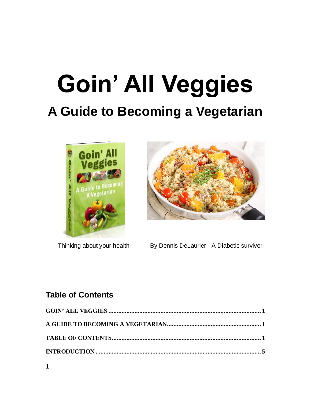# <span id="page-0-1"></span><span id="page-0-0"></span>**Goin' All Veggies A Guide to Becoming a Vegetarian**





Thinking about your health By Dennis DeLaurier - A Diabetic survivor

# <span id="page-0-2"></span>**Table of Contents**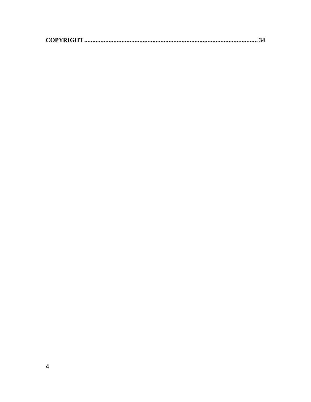|--|--|--|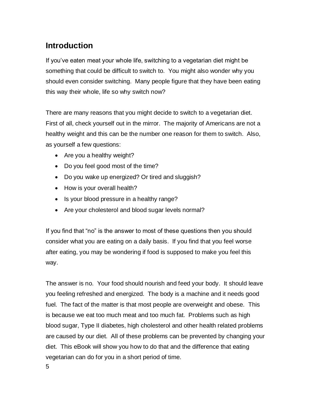# <span id="page-4-0"></span>**Introduction**

If you've eaten meat your whole life, switching to a vegetarian diet might be something that could be difficult to switch to. You might also wonder why you should even consider switching. Many people figure that they have been eating this way their whole, life so why switch now?

There are many reasons that you might decide to switch to a vegetarian diet. First of all, check yourself out in the mirror. The majority of Americans are not a healthy weight and this can be the number one reason for them to switch. Also, as yourself a few questions:

- Are you a healthy weight?
- Do you feel good most of the time?
- Do you wake up energized? Or tired and sluggish?
- How is your overall health?
- Is your blood pressure in a healthy range?
- Are your cholesterol and blood sugar levels normal?

If you find that "no" is the answer to most of these questions then you should consider what you are eating on a daily basis. If you find that you feel worse after eating, you may be wondering if food is supposed to make you feel this way.

The answer is no. Your food should nourish and feed your body. It should leave you feeling refreshed and energized. The body is a machine and it needs good fuel. The fact of the matter is that most people are overweight and obese. This is because we eat too much meat and too much fat. Problems such as high blood sugar, Type II diabetes, high cholesterol and other health related problems are caused by our diet. All of these problems can be prevented by changing your diet. This eBook will show you how to do that and the difference that eating vegetarian can do for you in a short period of time.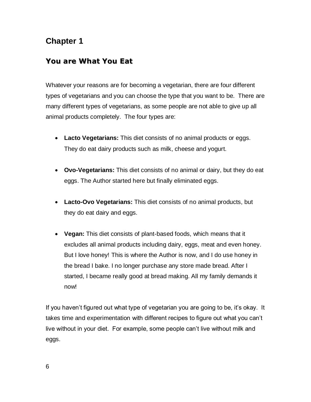# <span id="page-5-0"></span>**Chapter 1**

# <span id="page-5-1"></span>**You are What You Eat**

Whatever your reasons are for becoming a vegetarian, there are four different types of vegetarians and you can choose the type that you want to be. There are many different types of vegetarians, as some people are not able to give up all animal products completely. The four types are:

- **Lacto Vegetarians:** This diet consists of no animal products or eggs. They do eat dairy products such as milk, cheese and yogurt.
- **Ovo-Vegetarians:** This diet consists of no animal or dairy, but they do eat eggs. The Author started here but finally eliminated eggs.
- **Lacto-Ovo Vegetarians:** This diet consists of no animal products, but they do eat dairy and eggs.
- **Vegan:** This diet consists of plant-based foods, which means that it excludes all animal products including dairy, eggs, meat and even honey. But I love honey! This is where the Author is now, and I do use honey in the bread I bake. I no longer purchase any store made bread. After I started, I became really good at bread making. All my family demands it now!

If you haven't figured out what type of vegetarian you are going to be, it's okay. It takes time and experimentation with different recipes to figure out what you can't live without in your diet. For example, some people can't live without milk and eggs.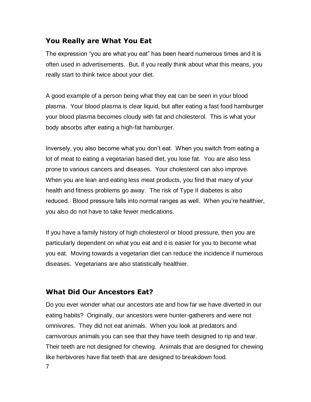# <span id="page-6-0"></span>**You Really are What You Eat**

The expression "you are what you eat" has been heard numerous times and it is often used in advertisements. But, if you really think about what this means, you really start to think twice about your diet.

A good example of a person being what they eat can be seen in your blood plasma. Your blood plasma is clear liquid, but after eating a fast food hamburger your blood plasma becomes cloudy with fat and cholesterol. This is what your body absorbs after eating a high-fat hamburger.

Inversely, you also become what you don't eat. When you switch from eating a lot of meat to eating a vegetarian based diet, you lose fat. You are also less prone to various cancers and diseases. Your cholesterol can also improve. When you are lean and eating less meat products, you find that many of your health and fitness problems go away. The risk of Type II diabetes is also reduced. Blood pressure falls into normal ranges as well. When you're healthier, you also do not have to take fewer medications.

If you have a family history of high cholesterol or blood pressure, then you are particularly dependent on what you eat and it is easier for you to become what you eat. Moving towards a vegetarian diet can reduce the incidence if numerous diseases. Vegetarians are also statistically healthier.

# <span id="page-6-1"></span>**What Did Our Ancestors Eat?**

7

Do you ever wonder what our ancestors ate and how far we have diverted in our eating habits? Originally, our ancestors were hunter-gatherers and were not omnivores. They did not eat animals. When you look at predators and carnivorous animals you can see that they have teeth designed to rip and tear. Their teeth are not designed for chewing. Animals that are designed for chewing like herbivores have flat teeth that are designed to breakdown food.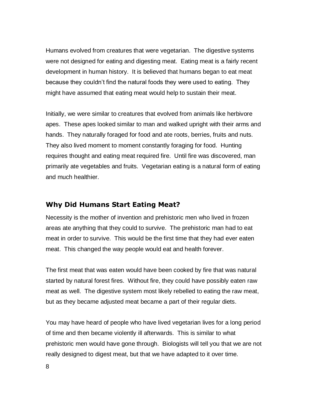Humans evolved from creatures that were vegetarian. The digestive systems were not designed for eating and digesting meat. Eating meat is a fairly recent development in human history. It is believed that humans began to eat meat because they couldn't find the natural foods they were used to eating. They might have assumed that eating meat would help to sustain their meat.

Initially, we were similar to creatures that evolved from animals like herbivore apes. These apes looked similar to man and walked upright with their arms and hands. They naturally foraged for food and ate roots, berries, fruits and nuts. They also lived moment to moment constantly foraging for food. Hunting requires thought and eating meat required fire. Until fire was discovered, man primarily ate vegetables and fruits. Vegetarian eating is a natural form of eating and much healthier.

## <span id="page-7-0"></span>**Why Did Humans Start Eating Meat?**

Necessity is the mother of invention and prehistoric men who lived in frozen areas ate anything that they could to survive. The prehistoric man had to eat meat in order to survive. This would be the first time that they had ever eaten meat. This changed the way people would eat and health forever.

The first meat that was eaten would have been cooked by fire that was natural started by natural forest fires. Without fire, they could have possibly eaten raw meat as well. The digestive system most likely rebelled to eating the raw meat, but as they became adjusted meat became a part of their regular diets.

You may have heard of people who have lived vegetarian lives for a long period of time and then became violently ill afterwards. This is similar to what prehistoric men would have gone through. Biologists will tell you that we are not really designed to digest meat, but that we have adapted to it over time.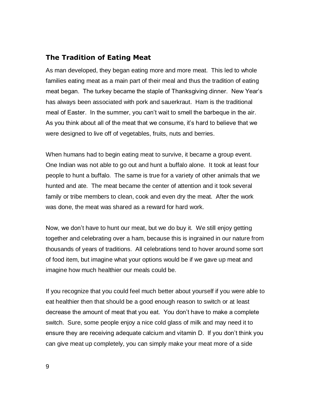## <span id="page-8-0"></span>**The Tradition of Eating Meat**

As man developed, they began eating more and more meat. This led to whole families eating meat as a main part of their meal and thus the tradition of eating meat began. The turkey became the staple of Thanksgiving dinner. New Year's has always been associated with pork and sauerkraut. Ham is the traditional meal of Easter. In the summer, you can't wait to smell the barbeque in the air. As you think about all of the meat that we consume, it's hard to believe that we were designed to live off of vegetables, fruits, nuts and berries.

When humans had to begin eating meat to survive, it became a group event. One Indian was not able to go out and hunt a buffalo alone. It took at least four people to hunt a buffalo. The same is true for a variety of other animals that we hunted and ate. The meat became the center of attention and it took several family or tribe members to clean, cook and even dry the meat. After the work was done, the meat was shared as a reward for hard work.

Now, we don't have to hunt our meat, but we do buy it. We still enjoy getting together and celebrating over a ham, because this is ingrained in our nature from thousands of years of traditions. All celebrations tend to hover around some sort of food item, but imagine what your options would be if we gave up meat and imagine how much healthier our meals could be.

If you recognize that you could feel much better about yourself if you were able to eat healthier then that should be a good enough reason to switch or at least decrease the amount of meat that you eat. You don't have to make a complete switch. Sure, some people enjoy a nice cold glass of milk and may need it to ensure they are receiving adequate calcium and vitamin D. If you don't think you can give meat up completely, you can simply make your meat more of a side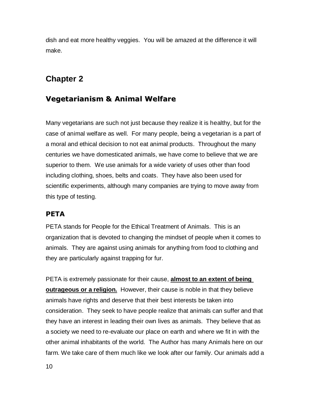dish and eat more healthy veggies. You will be amazed at the difference it will make.

# <span id="page-9-0"></span>**Chapter 2**

# <span id="page-9-1"></span>**Vegetarianism & Animal Welfare**

Many vegetarians are such not just because they realize it is healthy, but for the case of animal welfare as well. For many people, being a vegetarian is a part of a moral and ethical decision to not eat animal products. Throughout the many centuries we have domesticated animals, we have come to believe that we are superior to them. We use animals for a wide variety of uses other than food including clothing, shoes, belts and coats. They have also been used for scientific experiments, although many companies are trying to move away from this type of testing.

## <span id="page-9-2"></span>**PETA**

PETA stands for People for the Ethical Treatment of Animals. This is an organization that is devoted to changing the mindset of people when it comes to animals. They are against using animals for anything from food to clothing and they are particularly against trapping for fur.

PETA is extremely passionate for their cause, **almost to an extent of being outrageous or a religion.** However, their cause is noble in that they believe animals have rights and deserve that their best interests be taken into consideration. They seek to have people realize that animals can suffer and that they have an interest in leading their own lives as animals. They believe that as a society we need to re-evaluate our place on earth and where we fit in with the other animal inhabitants of the world. The Author has many Animals here on our farm. We take care of them much like we look after our family. Our animals add a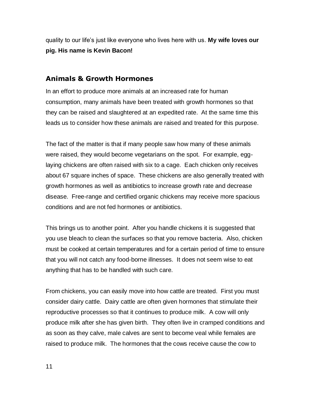quality to our life's just like everyone who lives here with us. **My wife loves our pig. His name is Kevin Bacon!**

#### <span id="page-10-0"></span>**Animals & Growth Hormones**

In an effort to produce more animals at an increased rate for human consumption, many animals have been treated with growth hormones so that they can be raised and slaughtered at an expedited rate. At the same time this leads us to consider how these animals are raised and treated for this purpose.

The fact of the matter is that if many people saw how many of these animals were raised, they would become vegetarians on the spot. For example, egglaying chickens are often raised with six to a cage. Each chicken only receives about 67 square inches of space. These chickens are also generally treated with growth hormones as well as antibiotics to increase growth rate and decrease disease. Free-range and certified organic chickens may receive more spacious conditions and are not fed hormones or antibiotics.

This brings us to another point. After you handle chickens it is suggested that you use bleach to clean the surfaces so that you remove bacteria. Also, chicken must be cooked at certain temperatures and for a certain period of time to ensure that you will not catch any food-borne illnesses. It does not seem wise to eat anything that has to be handled with such care.

From chickens, you can easily move into how cattle are treated. First you must consider dairy cattle. Dairy cattle are often given hormones that stimulate their reproductive processes so that it continues to produce milk. A cow will only produce milk after she has given birth. They often live in cramped conditions and as soon as they calve, male calves are sent to become veal while females are raised to produce milk. The hormones that the cows receive cause the cow to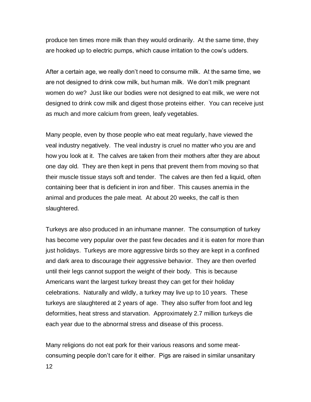produce ten times more milk than they would ordinarily. At the same time, they are hooked up to electric pumps, which cause irritation to the cow's udders.

After a certain age, we really don't need to consume milk. At the same time, we are not designed to drink cow milk, but human milk. We don't milk pregnant women do we? Just like our bodies were not designed to eat milk, we were not designed to drink cow milk and digest those proteins either. You can receive just as much and more calcium from green, leafy vegetables.

Many people, even by those people who eat meat regularly, have viewed the veal industry negatively. The veal industry is cruel no matter who you are and how you look at it. The calves are taken from their mothers after they are about one day old. They are then kept in pens that prevent them from moving so that their muscle tissue stays soft and tender. The calves are then fed a liquid, often containing beer that is deficient in iron and fiber. This causes anemia in the animal and produces the pale meat. At about 20 weeks, the calf is then slaughtered.

Turkeys are also produced in an inhumane manner. The consumption of turkey has become very popular over the past few decades and it is eaten for more than just holidays. Turkeys are more aggressive birds so they are kept in a confined and dark area to discourage their aggressive behavior. They are then overfed until their legs cannot support the weight of their body. This is because Americans want the largest turkey breast they can get for their holiday celebrations. Naturally and wildly, a turkey may live up to 10 years. These turkeys are slaughtered at 2 years of age. They also suffer from foot and leg deformities, heat stress and starvation. Approximately 2.7 million turkeys die each year due to the abnormal stress and disease of this process.

Many religions do not eat pork for their various reasons and some meatconsuming people don't care for it either. Pigs are raised in similar unsanitary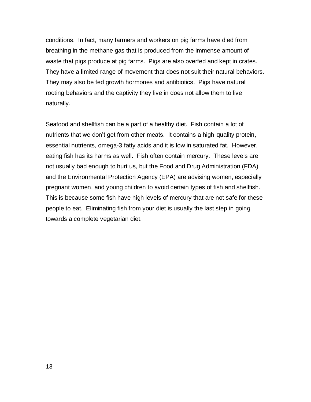conditions. In fact, many farmers and workers on pig farms have died from breathing in the methane gas that is produced from the immense amount of waste that pigs produce at pig farms. Pigs are also overfed and kept in crates. They have a limited range of movement that does not suit their natural behaviors. They may also be fed growth hormones and antibiotics. Pigs have natural rooting behaviors and the captivity they live in does not allow them to live naturally.

Seafood and shellfish can be a part of a healthy diet. Fish contain a lot of nutrients that we don't get from other meats. It contains a high-quality protein, essential nutrients, omega-3 fatty acids and it is low in saturated fat. However, eating fish has its harms as well. Fish often contain mercury. These levels are not usually bad enough to hurt us, but the Food and Drug Administration (FDA) and the Environmental Protection Agency (EPA) are advising women, especially pregnant women, and young children to avoid certain types of fish and shellfish. This is because some fish have high levels of mercury that are not safe for these people to eat. Eliminating fish from your diet is usually the last step in going towards a complete vegetarian diet.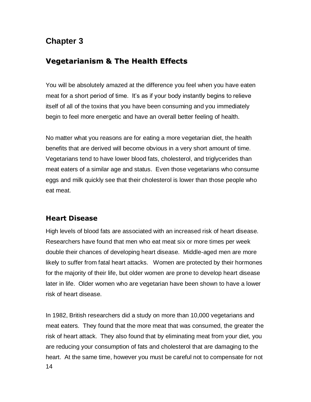# <span id="page-13-0"></span>**Chapter 3**

# <span id="page-13-1"></span>**Vegetarianism & The Health Effects**

You will be absolutely amazed at the difference you feel when you have eaten meat for a short period of time. It's as if your body instantly begins to relieve itself of all of the toxins that you have been consuming and you immediately begin to feel more energetic and have an overall better feeling of health.

No matter what you reasons are for eating a more vegetarian diet, the health benefits that are derived will become obvious in a very short amount of time. Vegetarians tend to have lower blood fats, cholesterol, and triglycerides than meat eaters of a similar age and status. Even those vegetarians who consume eggs and milk quickly see that their cholesterol is lower than those people who eat meat.

# <span id="page-13-2"></span>**Heart Disease**

High levels of blood fats are associated with an increased risk of heart disease. Researchers have found that men who eat meat six or more times per week double their chances of developing heart disease. Middle-aged men are more likely to suffer from fatal heart attacks. Women are protected by their hormones for the majority of their life, but older women are prone to develop heart disease later in life. Older women who are vegetarian have been shown to have a lower risk of heart disease.

14 In 1982, British researchers did a study on more than 10,000 vegetarians and meat eaters. They found that the more meat that was consumed, the greater the risk of heart attack. They also found that by eliminating meat from your diet, you are reducing your consumption of fats and cholesterol that are damaging to the heart. At the same time, however you must be careful not to compensate for not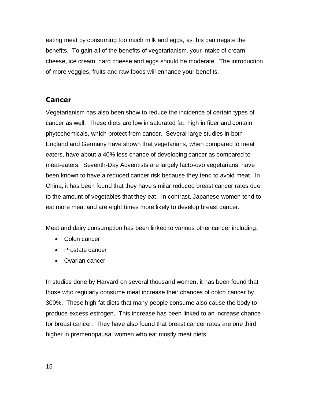eating meat by consuming too much milk and eggs, as this can negate the benefits. To gain all of the benefits of vegetarianism, your intake of cream cheese, ice cream, hard cheese and eggs should be moderate. The introduction of more veggies, fruits and raw foods will enhance your benefits.

## <span id="page-14-0"></span>**Cancer**

Vegetarianism has also been show to reduce the incidence of certain types of cancer as well. These diets are low in saturated fat, high in fiber and contain phytochemicals, which protect from cancer. Several large studies in both England and Germany have shown that vegetarians, when compared to meat eaters, have about a 40% less chance of developing cancer as compared to meat-eaters. Seventh-Day Adventists are largely lacto-ovo vegetarians, have been known to have a reduced cancer risk because they tend to avoid meat. In China, it has been found that they have similar reduced breast cancer rates due to the amount of vegetables that they eat. In contrast, Japanese women tend to eat more meat and are eight times more likely to develop breast cancer.

Meat and dairy consumption has been linked to various other cancer including:

- Colon cancer
- Prostate cancer
- Ovarian cancer

In studies done by Harvard on several thousand women, it has been found that those who regularly consume meat increase their chances of colon cancer by 300%. These high fat diets that many people consume also cause the body to produce excess estrogen. This increase has been linked to an increase chance for breast cancer. They have also found that breast cancer rates are one third higher in premenopausal women who eat mostly meat diets.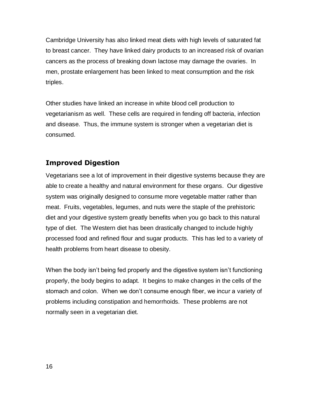Cambridge University has also linked meat diets with high levels of saturated fat to breast cancer. They have linked dairy products to an increased risk of ovarian cancers as the process of breaking down lactose may damage the ovaries. In men, prostate enlargement has been linked to meat consumption and the risk triples.

Other studies have linked an increase in white blood cell production to vegetarianism as well. These cells are required in fending off bacteria, infection and disease. Thus, the immune system is stronger when a vegetarian diet is consumed.

## <span id="page-15-0"></span>**Improved Digestion**

Vegetarians see a lot of improvement in their digestive systems because they are able to create a healthy and natural environment for these organs. Our digestive system was originally designed to consume more vegetable matter rather than meat. Fruits, vegetables, legumes, and nuts were the staple of the prehistoric diet and your digestive system greatly benefits when you go back to this natural type of diet. The Western diet has been drastically changed to include highly processed food and refined flour and sugar products. This has led to a variety of health problems from heart disease to obesity.

When the body isn't being fed properly and the digestive system isn't functioning properly, the body begins to adapt. It begins to make changes in the cells of the stomach and colon. When we don't consume enough fiber, we incur a variety of problems including constipation and hemorrhoids. These problems are not normally seen in a vegetarian diet.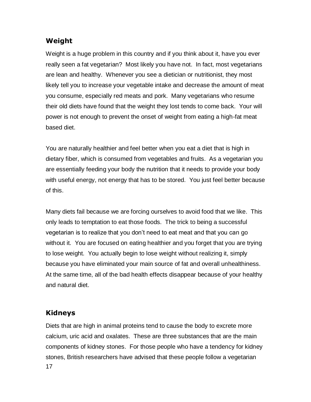# <span id="page-16-0"></span>**Weight**

Weight is a huge problem in this country and if you think about it, have you ever really seen a fat vegetarian? Most likely you have not. In fact, most vegetarians are lean and healthy. Whenever you see a dietician or nutritionist, they most likely tell you to increase your vegetable intake and decrease the amount of meat you consume, especially red meats and pork. Many vegetarians who resume their old diets have found that the weight they lost tends to come back. Your will power is not enough to prevent the onset of weight from eating a high-fat meat based diet.

You are naturally healthier and feel better when you eat a diet that is high in dietary fiber, which is consumed from vegetables and fruits. As a vegetarian you are essentially feeding your body the nutrition that it needs to provide your body with useful energy, not energy that has to be stored. You just feel better because of this.

Many diets fail because we are forcing ourselves to avoid food that we like. This only leads to temptation to eat those foods. The trick to being a successful vegetarian is to realize that you don't need to eat meat and that you can go without it. You are focused on eating healthier and you forget that you are trying to lose weight. You actually begin to lose weight without realizing it, simply because you have eliminated your main source of fat and overall unhealthiness. At the same time, all of the bad health effects disappear because of your healthy and natural diet.

## <span id="page-16-1"></span>**Kidneys**

17 Diets that are high in animal proteins tend to cause the body to excrete more calcium, uric acid and oxalates. These are three substances that are the main components of kidney stones. For those people who have a tendency for kidney stones, British researchers have advised that these people follow a vegetarian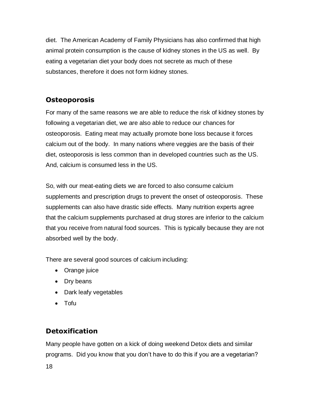diet. The American Academy of Family Physicians has also confirmed that high animal protein consumption is the cause of kidney stones in the US as well. By eating a vegetarian diet your body does not secrete as much of these substances, therefore it does not form kidney stones.

# <span id="page-17-0"></span>**Osteoporosis**

For many of the same reasons we are able to reduce the risk of kidney stones by following a vegetarian diet, we are also able to reduce our chances for osteoporosis. Eating meat may actually promote bone loss because it forces calcium out of the body. In many nations where veggies are the basis of their diet, osteoporosis is less common than in developed countries such as the US. And, calcium is consumed less in the US.

So, with our meat-eating diets we are forced to also consume calcium supplements and prescription drugs to prevent the onset of osteoporosis. These supplements can also have drastic side effects. Many nutrition experts agree that the calcium supplements purchased at drug stores are inferior to the calcium that you receive from natural food sources. This is typically because they are not absorbed well by the body.

There are several good sources of calcium including:

- Orange juice
- Dry beans
- Dark leafy vegetables
- Tofu

# <span id="page-17-1"></span>**Detoxification**

Many people have gotten on a kick of doing weekend Detox diets and similar programs. Did you know that you don't have to do this if you are a vegetarian?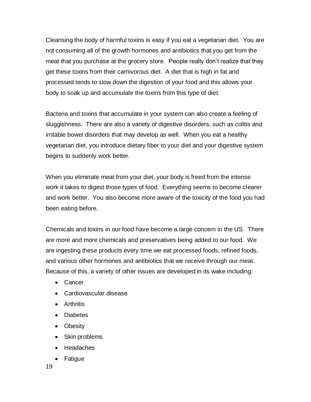Cleansing the body of harmful toxins is easy if you eat a vegetarian diet. You are not consuming all of the growth hormones and antibiotics that you get from the meat that you purchase at the grocery store. People really don't realize that they get these toxins from their carnivorous diet. A diet that is high in fat and processed tends to slow down the digestion of your food and this allows your body to soak up and accumulate the toxins from this type of diet.

Bacteria and toxins that accumulate in your system can also create a feeling of sluggishness. There are also a variety of digestive disorders, such as colitis and irritable bowel disorders that may develop as well. When you eat a healthy vegetarian diet, you introduce dietary fiber to your diet and your digestive system begins to suddenly work better.

When you eliminate meat from your diet, your body is freed from the intense work it takes to digest those types of food. Everything seems to become clearer and work better. You also become more aware of the toxicity of the food you had been eating before.

Chemicals and toxins in our food have become a large concern in the US. There are more and more chemicals and preservatives being added to our food. We are ingesting these products every time we eat processed foods, refined foods, and various other hormones and antibiotics that we receive through our meat. Because of this, a variety of other issues are developed in its wake including:

- Cancer
- Cardiovascular disease
- **•** Arthritis
- Diabetes
- Obesity
- Skin problems
- Headaches
- Fatigue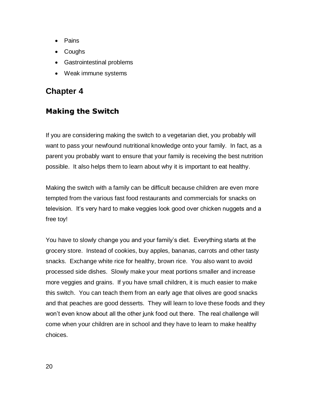- Pains
- Coughs
- Gastrointestinal problems
- Weak immune systems

# <span id="page-19-0"></span>**Chapter 4**

# <span id="page-19-1"></span>**Making the Switch**

If you are considering making the switch to a vegetarian diet, you probably will want to pass your newfound nutritional knowledge onto your family. In fact, as a parent you probably want to ensure that your family is receiving the best nutrition possible. It also helps them to learn about why it is important to eat healthy.

Making the switch with a family can be difficult because children are even more tempted from the various fast food restaurants and commercials for snacks on television. It's very hard to make veggies look good over chicken nuggets and a free toy!

You have to slowly change you and your family's diet. Everything starts at the grocery store. Instead of cookies, buy apples, bananas, carrots and other tasty snacks. Exchange white rice for healthy, brown rice. You also want to avoid processed side dishes. Slowly make your meat portions smaller and increase more veggies and grains. If you have small children, it is much easier to make this switch. You can teach them from an early age that olives are good snacks and that peaches are good desserts. They will learn to love these foods and they won't even know about all the other junk food out there. The real challenge will come when your children are in school and they have to learn to make healthy choices.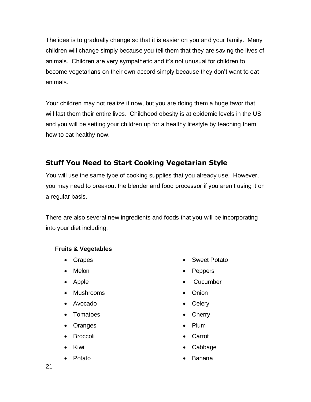The idea is to gradually change so that it is easier on you and your family. Many children will change simply because you tell them that they are saving the lives of animals. Children are very sympathetic and it's not unusual for children to become vegetarians on their own accord simply because they don't want to eat animals.

Your children may not realize it now, but you are doing them a huge favor that will last them their entire lives. Childhood obesity is at epidemic levels in the US and you will be setting your children up for a healthy lifestyle by teaching them how to eat healthy now.

# <span id="page-20-0"></span>**Stuff You Need to Start Cooking Vegetarian Style**

You will use the same type of cooking supplies that you already use. However, you may need to breakout the blender and food processor if you aren't using it on a regular basis.

There are also several new ingredients and foods that you will be incorporating into your diet including:

## <span id="page-20-1"></span>**Fruits & Vegetables**

- Grapes
- Melon
- Apple
- Mushrooms
- Avocado
- Tomatoes
- Oranges
- Broccoli
- Kiwi
- Potato
- Sweet Potato
- Peppers
- Cucumber
- Onion
- Celery
- Cherry
- Plum
- Carrot
- Cabbage
- Banana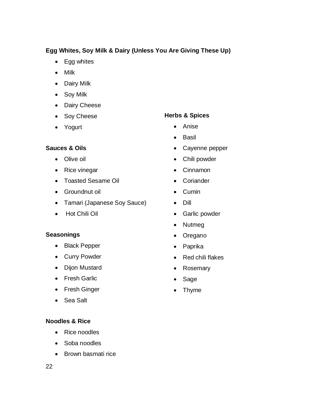## **Egg Whites, Soy Milk & Dairy (Unless You Are Giving These Up)**

- Egg whites
- Milk
- Dairy Milk
- Soy Milk
- Dairy Cheese
- Soy Cheese
- Yogurt

#### <span id="page-21-2"></span>**Herbs & Spices**

- Anise
- Basil
- Cayenne pepper
- Chili powder
- Cinnamon
- Coriander
- Cumin
- Dill
- Garlic powder
- Nutmeg
- Oregano
- Paprika
- Red chili flakes
- Rosemary
- Sage
- Thyme

## <span id="page-21-0"></span>**Sauces & Oils**

- Olive oil
- Rice vinegar
- Toasted Sesame Oil
- Groundnut oil
- Tamari (Japanese Soy Sauce)
- Hot Chili Oil

#### <span id="page-21-1"></span>**Seasonings**

- Black Pepper
- Curry Powder
- Dijon Mustard
- Fresh Garlic
- Fresh Ginger
- Sea Salt

#### <span id="page-21-3"></span>**Noodles & Rice**

- Rice noodles
- Soba noodles
- Brown basmati rice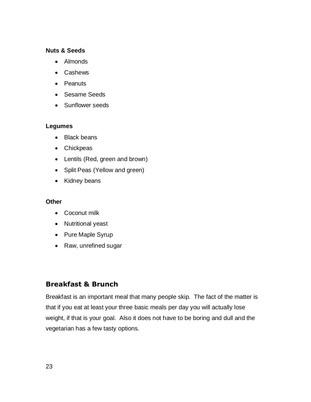#### <span id="page-22-0"></span>**Nuts & Seeds**

- Almonds
- Cashews
- Peanuts
- Sesame Seeds
- Sunflower seeds

#### <span id="page-22-1"></span>**Legumes**

- Black beans
- Chickpeas
- Lentils (Red, green and brown)
- Split Peas (Yellow and green)
- Kidney beans

#### <span id="page-22-2"></span>**Other**

- Coconut milk
- Nutritional yeast
- Pure Maple Syrup
- Raw, unrefined sugar

## <span id="page-22-3"></span>**Breakfast & Brunch**

Breakfast is an important meal that many people skip. The fact of the matter is that if you eat at least your three basic meals per day you will actually lose weight, if that is your goal. Also it does not have to be boring and dull and the vegetarian has a few tasty options.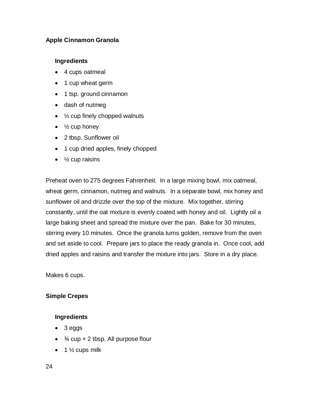#### <span id="page-23-0"></span>**Apple Cinnamon Granola**

#### <span id="page-23-1"></span>**Ingredients**

- 4 cups oatmeal
- 1 cup wheat germ
- 1 tsp. ground cinnamon
- dash of nutmeg
- $\bullet$   $\frac{1}{2}$  cup finely chopped walnuts
- $\bullet\quad$  1/<sub>2</sub> cup honey
- 2 tbsp. Sunflower oil
- 1 cup dried apples, finely chopped
- $\bullet$  % cup raisins

Preheat oven to 275 degrees Fahrenheit. In a large mixing bowl, mix oatmeal, wheat germ, cinnamon, nutmeg and walnuts. In a separate bowl, mix honey and sunflower oil and drizzle over the top of the mixture. Mix together, stirring constantly, until the oat mixture is evenly coated with honey and oil. Lightly oil a large baking sheet and spread the mixture over the pan. Bake for 30 minutes, stirring every 10 minutes. Once the granola turns golden, remove from the oven and set aside to cool. Prepare jars to place the ready granola in. Once cool, add dried apples and raisins and transfer the mixture into jars. Store in a dry place.

Makes 6 cups.

## <span id="page-23-2"></span>**Simple Crepes**

#### <span id="page-23-3"></span>**Ingredients**

- 3 eggs
- $\bullet$   $\frac{3}{4}$  cup + 2 tbsp. All purpose flour
- $\bullet$  1  $\frac{1}{2}$  cups milk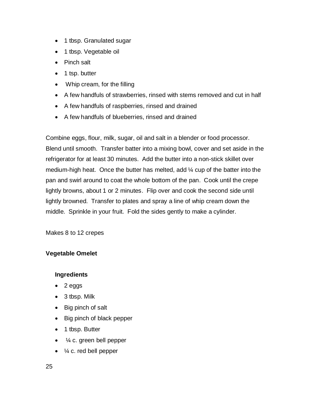- 1 tbsp. Granulated sugar
- 1 tbsp. Vegetable oil
- Pinch salt
- 1 tsp. butter
- Whip cream, for the filling
- A few handfuls of strawberries, rinsed with stems removed and cut in half
- A few handfuls of raspberries, rinsed and drained
- A few handfuls of blueberries, rinsed and drained

Combine eggs, flour, milk, sugar, oil and salt in a blender or food processor. Blend until smooth. Transfer batter into a mixing bowl, cover and set aside in the refrigerator for at least 30 minutes. Add the butter into a non-stick skillet over medium-high heat. Once the butter has melted, add ¼ cup of the batter into the pan and swirl around to coat the whole bottom of the pan. Cook until the crepe lightly browns, about 1 or 2 minutes. Flip over and cook the second side until lightly browned. Transfer to plates and spray a line of whip cream down the middle. Sprinkle in your fruit. Fold the sides gently to make a cylinder.

Makes 8 to 12 crepes

## <span id="page-24-0"></span>**Vegetable Omelet**

#### <span id="page-24-1"></span>**Ingredients**

- $\bullet$  2 eggs
- 3 tbsp. Milk
- Big pinch of salt
- Big pinch of black pepper
- 1 tbsp. Butter
- $\bullet$   $\frac{1}{4}$  c. green bell pepper
- $\bullet$   $\frac{1}{4}$  c. red bell pepper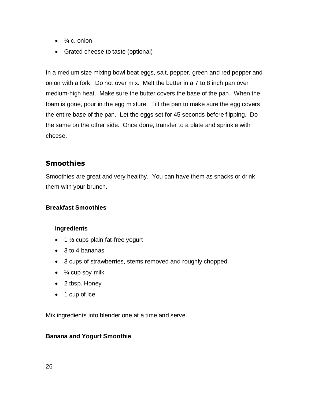- $\bullet$   $\frac{1}{4}$  c. onion
- Grated cheese to taste (optional)

In a medium size mixing bowl beat eggs, salt, pepper, green and red pepper and onion with a fork. Do not over mix. Melt the butter in a 7 to 8 inch pan over medium-high heat. Make sure the butter covers the base of the pan. When the foam is gone, pour in the egg mixture. Tilt the pan to make sure the egg covers the entire base of the pan. Let the eggs set for 45 seconds before flipping. Do the same on the other side. Once done, transfer to a plate and sprinkle with cheese.

## <span id="page-25-0"></span>**Smoothies**

Smoothies are great and very healthy. You can have them as snacks or drink them with your brunch.

#### <span id="page-25-1"></span>**Breakfast Smoothies**

#### <span id="page-25-2"></span>**Ingredients**

- $\bullet$  1  $\frac{1}{2}$  cups plain fat-free yogurt
- 3 to 4 bananas
- 3 cups of strawberries, stems removed and roughly chopped
- $\bullet$  % cup soy milk
- 2 tbsp. Honey
- $\bullet$  1 cup of ice

Mix ingredients into blender one at a time and serve.

#### <span id="page-25-3"></span>**Banana and Yogurt Smoothie**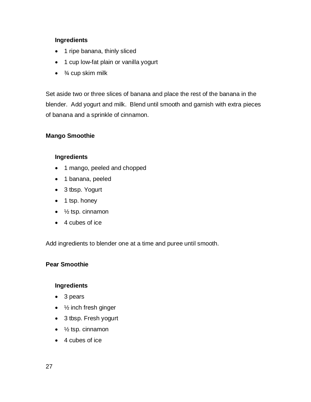#### <span id="page-26-0"></span>**Ingredients**

- 1 ripe banana, thinly sliced
- 1 cup low-fat plain or vanilla yogurt
- $\bullet$   $\frac{3}{4}$  cup skim milk

Set aside two or three slices of banana and place the rest of the banana in the blender. Add yogurt and milk. Blend until smooth and garnish with extra pieces of banana and a sprinkle of cinnamon.

#### <span id="page-26-1"></span>**Mango Smoothie**

#### <span id="page-26-2"></span>**Ingredients**

- 1 mango, peeled and chopped
- 1 banana, peeled
- 3 tbsp. Yogurt
- 1 tsp. honey
- $\bullet$   $\frac{1}{2}$  tsp. cinnamon
- 4 cubes of ice

Add ingredients to blender one at a time and puree until smooth.

#### <span id="page-26-3"></span>**Pear Smoothie**

#### <span id="page-26-4"></span>**Ingredients**

- 3 pears
- $\bullet$   $\frac{1}{2}$  inch fresh ginger
- 3 tbsp. Fresh yogurt
- $\bullet$   $\frac{1}{2}$  tsp. cinnamon
- 4 cubes of ice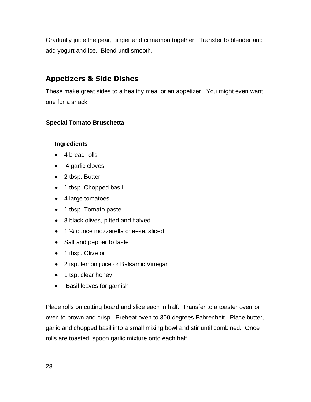Gradually juice the pear, ginger and cinnamon together. Transfer to blender and add yogurt and ice. Blend until smooth.

# <span id="page-27-0"></span>**Appetizers & Side Dishes**

These make great sides to a healthy meal or an appetizer. You might even want one for a snack!

#### <span id="page-27-1"></span>**Special Tomato Bruschetta**

#### <span id="page-27-2"></span>**Ingredients**

- 4 bread rolls
- 4 garlic cloves
- 2 tbsp. Butter
- 1 tbsp. Chopped basil
- 4 large tomatoes
- 1 tbsp. Tomato paste
- 8 black olives, pitted and halved
- $\bullet$  1  $\frac{3}{4}$  ounce mozzarella cheese, sliced
- Salt and pepper to taste
- 1 tbsp. Olive oil
- 2 tsp. lemon juice or Balsamic Vinegar
- 1 tsp. clear honey
- Basil leaves for garnish

Place rolls on cutting board and slice each in half. Transfer to a toaster oven or oven to brown and crisp. Preheat oven to 300 degrees Fahrenheit. Place butter, garlic and chopped basil into a small mixing bowl and stir until combined. Once rolls are toasted, spoon garlic mixture onto each half.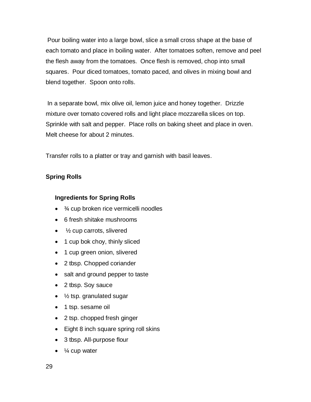Pour boiling water into a large bowl, slice a small cross shape at the base of each tomato and place in boiling water. After tomatoes soften, remove and peel the flesh away from the tomatoes. Once flesh is removed, chop into small squares. Pour diced tomatoes, tomato paced, and olives in mixing bowl and blend together. Spoon onto rolls.

In a separate bowl, mix olive oil, lemon juice and honey together. Drizzle mixture over tomato covered rolls and light place mozzarella slices on top. Sprinkle with salt and pepper. Place rolls on baking sheet and place in oven. Melt cheese for about 2 minutes.

Transfer rolls to a platter or tray and garnish with basil leaves.

## <span id="page-28-0"></span>**Spring Rolls**

## <span id="page-28-1"></span>**Ingredients for Spring Rolls**

- $\bullet$   $\frac{3}{4}$  cup broken rice vermicelli noodles
- 6 fresh shitake mushrooms
- $\bullet$  /<sub>2</sub> cup carrots, slivered
- 1 cup bok choy, thinly sliced
- 1 cup green onion, slivered
- 2 tbsp. Chopped coriander
- salt and ground pepper to taste
- 2 tbsp. Soy sauce
- $\bullet$  % tsp. granulated sugar
- 1 tsp. sesame oil
- 2 tsp. chopped fresh ginger
- Eight 8 inch square spring roll skins
- 3 tbsp. All-purpose flour
- $\bullet$   $\frac{1}{4}$  cup water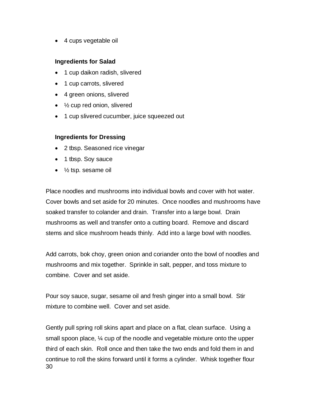• 4 cups vegetable oil

#### <span id="page-29-0"></span>**Ingredients for Salad**

- 1 cup daikon radish, slivered
- 1 cup carrots, slivered
- 4 green onions, slivered
- $\bullet$   $\frac{1}{2}$  cup red onion, slivered
- 1 cup slivered cucumber, juice squeezed out

#### <span id="page-29-1"></span>**Ingredients for Dressing**

- 2 tbsp. Seasoned rice vinegar
- 1 tbsp. Soy sauce
- $\bullet$   $\frac{1}{2}$  tsp. sesame oil

Place noodles and mushrooms into individual bowls and cover with hot water. Cover bowls and set aside for 20 minutes. Once noodles and mushrooms have soaked transfer to colander and drain. Transfer into a large bowl. Drain mushrooms as well and transfer onto a cutting board. Remove and discard stems and slice mushroom heads thinly. Add into a large bowl with noodles.

Add carrots, bok choy, green onion and coriander onto the bowl of noodles and mushrooms and mix together. Sprinkle in salt, pepper, and toss mixture to combine. Cover and set aside.

Pour soy sauce, sugar, sesame oil and fresh ginger into a small bowl. Stir mixture to combine well. Cover and set aside.

30 Gently pull spring roll skins apart and place on a flat, clean surface. Using a small spoon place, ¼ cup of the noodle and vegetable mixture onto the upper third of each skin. Roll once and then take the two ends and fold them in and continue to roll the skins forward until it forms a cylinder. Whisk together flour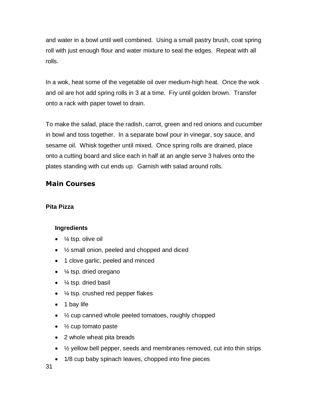and water in a bowl until well combined. Using a small pastry brush, coat spring roll with just enough flour and water mixture to seal the edges. Repeat with all rolls.

In a wok, heat some of the vegetable oil over medium-high heat. Once the wok and oil are hot add spring rolls in 3 at a time. Fry until golden brown. Transfer onto a rack with paper towel to drain.

To make the salad, place the radish, carrot, green and red onions and cucumber in bowl and toss together. In a separate bowl pour in vinegar, soy sauce, and sesame oil. Whisk together until mixed. Once spring rolls are drained, place onto a cutting board and slice each in half at an angle serve 3 halves onto the plates standing with cut ends up. Garnish with salad around rolls.

# <span id="page-30-0"></span>**Main Courses**

## <span id="page-30-1"></span>**Pita Pizza**

#### <span id="page-30-2"></span>**Ingredients**

- $\bullet$   $\frac{1}{4}$  tsp. olive oil
- ½ small onion, peeled and chopped and diced
- 1 clove garlic, peeled and minced
- $\bullet$   $\frac{1}{4}$  tsp. dried oregano
- $\bullet$   $\frac{1}{4}$  tsp. dried basil
- $\bullet$   $\frac{1}{4}$  tsp. crushed red pepper flakes
- 1 bay life
- 1/2 cup canned whole peeled tomatoes, roughly chopped
- $\bullet$  % cup tomato paste
- 2 whole wheat pita breads
- $\bullet$   $\frac{1}{2}$  yellow bell pepper, seeds and membranes removed, cut into thin strips
- 1/8 cup baby spinach leaves, chopped into fine pieces

31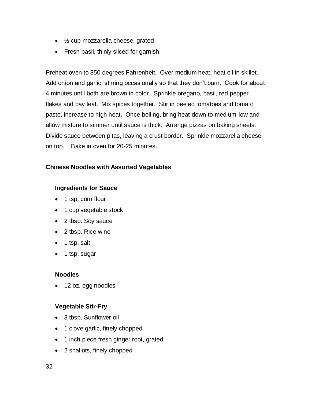- 1/2 cup mozzarella cheese, grated
- Fresh basil, thinly sliced for garnish

Preheat oven to 350 degrees Fahrenheit. Over medium heat, heat oil in skillet. Add onion and garlic, stirring occasionally so that they don't burn. Cook for about 4 minutes until both are brown in color. Sprinkle oregano, basil, red pepper flakes and bay leaf. Mix spices together. Stir in peeled tomatoes and tomato paste, increase to high heat. Once boiling, bring heat down to medium-low and allow mixture to simmer until sauce is thick. Arrange pizzas on baking sheets. Divide sauce between pitas, leaving a crust border. Sprinkle mozzarella cheese on top. Bake in oven for 20-25 minutes.

#### <span id="page-31-0"></span>**Chinese Noodles with Assorted Vegetables**

#### <span id="page-31-1"></span>**Ingredients for Sauce**

- 1 tsp. corn flour
- 1 cup vegetable stock
- 2 tbsp. Soy sauce
- 2 tbsp. Rice wine
- $\bullet$  1 tsp. salt
- 1 tsp. sugar

#### <span id="page-31-2"></span>**Noodles**

• 12 oz. egg noodles

#### <span id="page-31-3"></span>**Vegetable Stir-Fry**

- 3 tbsp. Sunflower oil
- 1 clove garlic, finely chopped
- 1 inch piece fresh ginger root, grated
- 2 shallots, finely chopped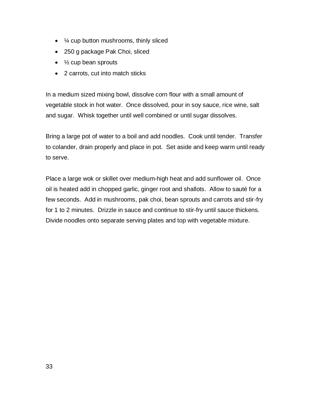- $\frac{1}{4}$  cup button mushrooms, thinly sliced
- 250 g package Pak Choi, sliced
- $\bullet$   $\frac{1}{2}$  cup bean sprouts
- 2 carrots, cut into match sticks

In a medium sized mixing bowl, dissolve corn flour with a small amount of vegetable stock in hot water. Once dissolved, pour in soy sauce, rice wine, salt and sugar. Whisk together until well combined or until sugar dissolves.

Bring a large pot of water to a boil and add noodles. Cook until tender. Transfer to colander, drain properly and place in pot. Set aside and keep warm until ready to serve.

Place a large wok or skillet over medium-high heat and add sunflower oil. Once oil is heated add in chopped garlic, ginger root and shallots. Allow to sauté for a few seconds. Add in mushrooms, pak choi, bean sprouts and carrots and stir-fry for 1 to 2 minutes. Drizzle in sauce and continue to stir-fry until sauce thickens. Divide noodles onto separate serving plates and top with vegetable mixture.